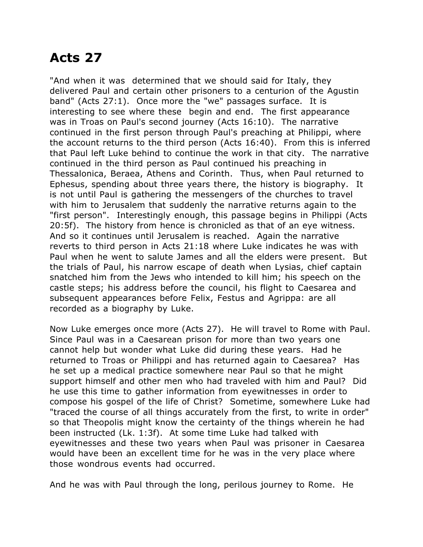## **Acts 27**

"And when it was determined that we should said for Italy, they delivered Paul and certain other prisoners to a centurion of the Agustin band" (Acts 27:1). Once more the "we" passages surface. It is interesting to see where these begin and end. The first appearance was in Troas on Paul's second journey (Acts 16:10). The narrative continued in the first person through Paul's preaching at Philippi, where the account returns to the third person (Acts 16:40). From this is inferred that Paul left Luke behind to continue the work in that city. The narrative continued in the third person as Paul continued his preaching in Thessalonica, Beraea, Athens and Corinth. Thus, when Paul returned to Ephesus, spending about three years there, the history is biography. It is not until Paul is gathering the messengers of the churches to travel with him to Jerusalem that suddenly the narrative returns again to the "first person". Interestingly enough, this passage begins in Philippi (Acts 20:5f). The history from hence is chronicled as that of an eye witness. And so it continues until Jerusalem is reached. Again the narrative reverts to third person in Acts 21:18 where Luke indicates he was with Paul when he went to salute James and all the elders were present. But the trials of Paul, his narrow escape of death when Lysias, chief captain snatched him from the Jews who intended to kill him; his speech on the castle steps; his address before the council, his flight to Caesarea and subsequent appearances before Felix, Festus and Agrippa: are all recorded as a biography by Luke.

Now Luke emerges once more (Acts 27). He will travel to Rome with Paul. Since Paul was in a Caesarean prison for more than two years one cannot help but wonder what Luke did during these years. Had he returned to Troas or Philippi and has returned again to Caesarea? Has he set up a medical practice somewhere near Paul so that he might support himself and other men who had traveled with him and Paul? Did he use this time to gather information from eyewitnesses in order to compose his gospel of the life of Christ? Sometime, somewhere Luke had "traced the course of all things accurately from the first, to write in order" so that Theopolis might know the certainty of the things wherein he had been instructed (Lk. 1:3f). At some time Luke had talked with eyewitnesses and these two years when Paul was prisoner in Caesarea would have been an excellent time for he was in the very place where those wondrous events had occurred.

And he was with Paul through the long, perilous journey to Rome. He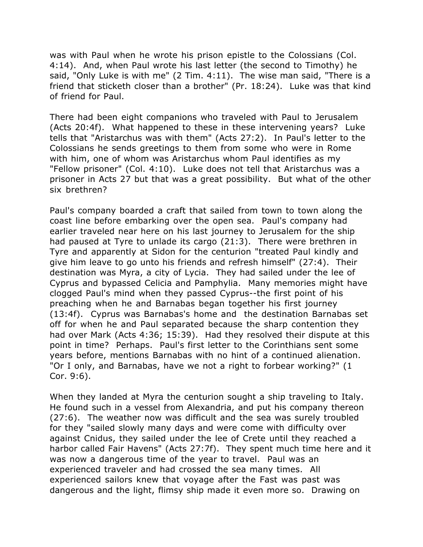was with Paul when he wrote his prison epistle to the Colossians (Col. 4:14). And, when Paul wrote his last letter (the second to Timothy) he said, "Only Luke is with me" (2 Tim. 4:11). The wise man said, "There is a friend that sticketh closer than a brother" (Pr. 18:24). Luke was that kind of friend for Paul.

There had been eight companions who traveled with Paul to Jerusalem (Acts 20:4f). What happened to these in these intervening years? Luke tells that "Aristarchus was with them" (Acts 27:2). In Paul's letter to the Colossians he sends greetings to them from some who were in Rome with him, one of whom was Aristarchus whom Paul identifies as my "Fellow prisoner" (Col. 4:10). Luke does not tell that Aristarchus was a prisoner in Acts 27 but that was a great possibility. But what of the other six brethren?

Paul's company boarded a craft that sailed from town to town along the coast line before embarking over the open sea. Paul's company had earlier traveled near here on his last journey to Jerusalem for the ship had paused at Tyre to unlade its cargo (21:3). There were brethren in Tyre and apparently at Sidon for the centurion "treated Paul kindly and give him leave to go unto his friends and refresh himself" (27:4). Their destination was Myra, a city of Lycia. They had sailed under the lee of Cyprus and bypassed Celicia and Pamphylia. Many memories might have clogged Paul's mind when they passed Cyprus--the first point of his preaching when he and Barnabas began together his first journey (13:4f). Cyprus was Barnabas's home and the destination Barnabas set off for when he and Paul separated because the sharp contention they had over Mark (Acts 4:36; 15:39). Had they resolved their dispute at this point in time? Perhaps. Paul's first letter to the Corinthians sent some years before, mentions Barnabas with no hint of a continued alienation. "Or I only, and Barnabas, have we not a right to forbear working?" (1 Cor. 9:6).

When they landed at Myra the centurion sought a ship traveling to Italy. He found such in a vessel from Alexandria, and put his company thereon (27:6). The weather now was difficult and the sea was surely troubled for they "sailed slowly many days and were come with difficulty over against Cnidus, they sailed under the lee of Crete until they reached a harbor called Fair Havens" (Acts 27:7f). They spent much time here and it was now a dangerous time of the year to travel. Paul was an experienced traveler and had crossed the sea many times. All experienced sailors knew that voyage after the Fast was past was dangerous and the light, flimsy ship made it even more so. Drawing on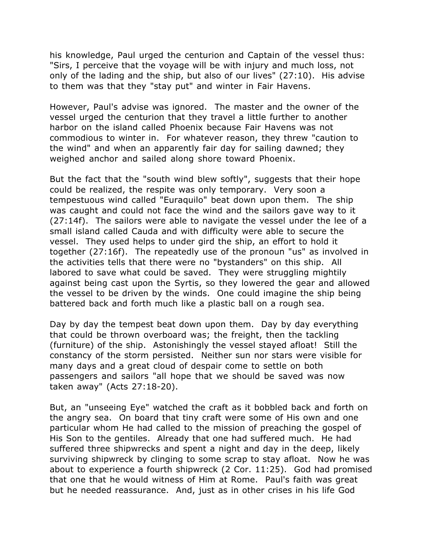his knowledge, Paul urged the centurion and Captain of the vessel thus: "Sirs, I perceive that the voyage will be with injury and much loss, not only of the lading and the ship, but also of our lives" (27:10). His advise to them was that they "stay put" and winter in Fair Havens.

However, Paul's advise was ignored. The master and the owner of the vessel urged the centurion that they travel a little further to another harbor on the island called Phoenix because Fair Havens was not commodious to winter in. For whatever reason, they threw "caution to the wind" and when an apparently fair day for sailing dawned; they weighed anchor and sailed along shore toward Phoenix.

But the fact that the "south wind blew softly", suggests that their hope could be realized, the respite was only temporary. Very soon a tempestuous wind called "Euraquilo" beat down upon them. The ship was caught and could not face the wind and the sailors gave way to it (27:14f). The sailors were able to navigate the vessel under the lee of a small island called Cauda and with difficulty were able to secure the vessel. They used helps to under gird the ship, an effort to hold it together (27:16f). The repeatedly use of the pronoun "us" as involved in the activities tells that there were no "bystanders" on this ship. All labored to save what could be saved. They were struggling mightily against being cast upon the Syrtis, so they lowered the gear and allowed the vessel to be driven by the winds. One could imagine the ship being battered back and forth much like a plastic ball on a rough sea.

Day by day the tempest beat down upon them. Day by day everything that could be thrown overboard was; the freight, then the tackling (furniture) of the ship. Astonishingly the vessel stayed afloat! Still the constancy of the storm persisted. Neither sun nor stars were visible for many days and a great cloud of despair come to settle on both passengers and sailors "all hope that we should be saved was now taken away" (Acts 27:18-20).

But, an "unseeing Eye" watched the craft as it bobbled back and forth on the angry sea. On board that tiny craft were some of His own and one particular whom He had called to the mission of preaching the gospel of His Son to the gentiles. Already that one had suffered much. He had suffered three shipwrecks and spent a night and day in the deep, likely surviving shipwreck by clinging to some scrap to stay afloat. Now he was about to experience a fourth shipwreck (2 Cor. 11:25). God had promised that one that he would witness of Him at Rome. Paul's faith was great but he needed reassurance. And, just as in other crises in his life God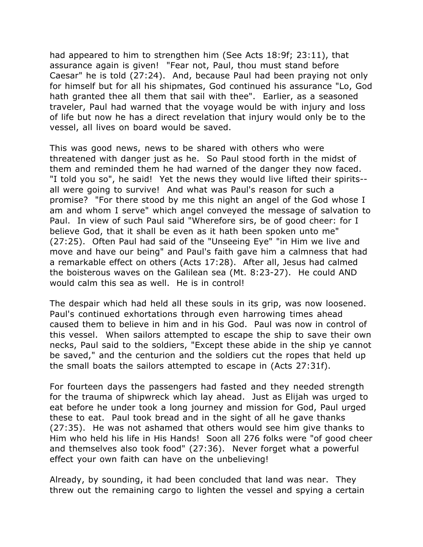had appeared to him to strengthen him (See Acts 18:9f; 23:11), that assurance again is given! "Fear not, Paul, thou must stand before Caesar" he is told (27:24). And, because Paul had been praying not only for himself but for all his shipmates, God continued his assurance "Lo, God hath granted thee all them that sail with thee". Earlier, as a seasoned traveler, Paul had warned that the voyage would be with injury and loss of life but now he has a direct revelation that injury would only be to the vessel, all lives on board would be saved.

This was good news, news to be shared with others who were threatened with danger just as he. So Paul stood forth in the midst of them and reminded them he had warned of the danger they now faced. "I told you so", he said! Yet the news they would live lifted their spirits- all were going to survive! And what was Paul's reason for such a promise? "For there stood by me this night an angel of the God whose I am and whom I serve" which angel conveyed the message of salvation to Paul. In view of such Paul said "Wherefore sirs, be of good cheer: for I believe God, that it shall be even as it hath been spoken unto me" (27:25). Often Paul had said of the "Unseeing Eye" "in Him we live and move and have our being" and Paul's faith gave him a calmness that had a remarkable effect on others (Acts 17:28). After all, Jesus had calmed the boisterous waves on the Galilean sea (Mt. 8:23-27). He could AND would calm this sea as well. He is in control!

The despair which had held all these souls in its grip, was now loosened. Paul's continued exhortations through even harrowing times ahead caused them to believe in him and in his God. Paul was now in control of this vessel. When sailors attempted to escape the ship to save their own necks, Paul said to the soldiers, "Except these abide in the ship ye cannot be saved," and the centurion and the soldiers cut the ropes that held up the small boats the sailors attempted to escape in (Acts 27:31f).

For fourteen days the passengers had fasted and they needed strength for the trauma of shipwreck which lay ahead. Just as Elijah was urged to eat before he under took a long journey and mission for God, Paul urged these to eat. Paul took bread and in the sight of all he gave thanks (27:35). He was not ashamed that others would see him give thanks to Him who held his life in His Hands! Soon all 276 folks were "of good cheer and themselves also took food" (27:36). Never forget what a powerful effect your own faith can have on the unbelieving!

Already, by sounding, it had been concluded that land was near. They threw out the remaining cargo to lighten the vessel and spying a certain